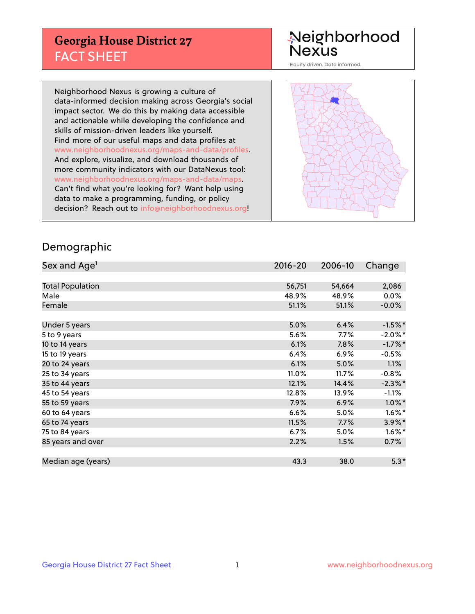## **Georgia House District 27** FACT SHEET

# Neighborhood<br>Nexus

Equity driven. Data informed.

Neighborhood Nexus is growing a culture of data-informed decision making across Georgia's social impact sector. We do this by making data accessible and actionable while developing the confidence and skills of mission-driven leaders like yourself. Find more of our useful maps and data profiles at www.neighborhoodnexus.org/maps-and-data/profiles. And explore, visualize, and download thousands of more community indicators with our DataNexus tool: www.neighborhoodnexus.org/maps-and-data/maps. Can't find what you're looking for? Want help using data to make a programming, funding, or policy decision? Reach out to [info@neighborhoodnexus.org!](mailto:info@neighborhoodnexus.org)



### Demographic

| Sex and Age <sup>1</sup> | 2016-20 | 2006-10 | Change               |
|--------------------------|---------|---------|----------------------|
|                          |         |         |                      |
| <b>Total Population</b>  | 56,751  | 54,664  | 2,086                |
| Male                     | 48.9%   | 48.9%   | $0.0\%$              |
| Female                   | 51.1%   | 51.1%   | $-0.0\%$             |
|                          |         |         |                      |
| Under 5 years            | 5.0%    | 6.4%    | $-1.5%$ *            |
| 5 to 9 years             | 5.6%    | $7.7\%$ | $-2.0\%$ *           |
| 10 to 14 years           | 6.1%    | 7.8%    | $-1.7%$ *            |
| 15 to 19 years           | 6.4%    | 6.9%    | $-0.5%$              |
| 20 to 24 years           | 6.1%    | 5.0%    | 1.1%                 |
| 25 to 34 years           | 11.0%   | 11.7%   | $-0.8%$              |
| 35 to 44 years           | 12.1%   | 14.4%   | $-2.3\%$ *           |
| 45 to 54 years           | 12.8%   | 13.9%   | $-1.1%$              |
| 55 to 59 years           | 7.9%    | 6.9%    | $1.0\%$ *            |
| 60 to 64 years           | 6.6%    | 5.0%    | $1.6\%$ *            |
| 65 to 74 years           | 11.5%   | 7.7%    | $3.9\%$ *            |
| 75 to 84 years           | 6.7%    | 5.0%    | $1.6\%$ <sup>*</sup> |
| 85 years and over        | 2.2%    | 1.5%    | 0.7%                 |
|                          |         |         |                      |
| Median age (years)       | 43.3    | 38.0    | $5.3*$               |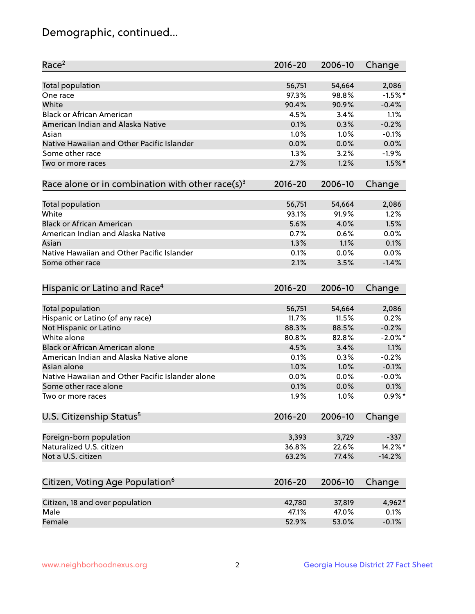## Demographic, continued...

| Race <sup>2</sup>                                            | $2016 - 20$ | 2006-10 | Change     |
|--------------------------------------------------------------|-------------|---------|------------|
| <b>Total population</b>                                      | 56,751      | 54,664  | 2,086      |
| One race                                                     | 97.3%       | 98.8%   | $-1.5%$ *  |
| White                                                        | 90.4%       | 90.9%   | $-0.4%$    |
| <b>Black or African American</b>                             | 4.5%        | 3.4%    | 1.1%       |
| American Indian and Alaska Native                            | 0.1%        | 0.3%    | $-0.2%$    |
| Asian                                                        | 1.0%        | 1.0%    | $-0.1%$    |
| Native Hawaiian and Other Pacific Islander                   | 0.0%        | 0.0%    | 0.0%       |
| Some other race                                              | 1.3%        | 3.2%    | $-1.9%$    |
| Two or more races                                            | 2.7%        | 1.2%    | $1.5\%$ *  |
| Race alone or in combination with other race(s) <sup>3</sup> | $2016 - 20$ | 2006-10 | Change     |
| Total population                                             | 56,751      | 54,664  | 2,086      |
| White                                                        | 93.1%       | 91.9%   | 1.2%       |
| <b>Black or African American</b>                             | 5.6%        | 4.0%    | 1.5%       |
| American Indian and Alaska Native                            | 0.7%        | 0.6%    | 0.0%       |
| Asian                                                        | 1.3%        | 1.1%    | 0.1%       |
| Native Hawaiian and Other Pacific Islander                   | 0.1%        | 0.0%    | 0.0%       |
| Some other race                                              | 2.1%        | 3.5%    | $-1.4%$    |
|                                                              |             |         |            |
| Hispanic or Latino and Race <sup>4</sup>                     | $2016 - 20$ | 2006-10 | Change     |
| Total population                                             | 56,751      | 54,664  | 2,086      |
| Hispanic or Latino (of any race)                             | 11.7%       | 11.5%   | 0.2%       |
| Not Hispanic or Latino                                       | 88.3%       | 88.5%   | $-0.2%$    |
| White alone                                                  | 80.8%       | 82.8%   | $-2.0\%$ * |
| Black or African American alone                              | 4.5%        | 3.4%    | 1.1%       |
| American Indian and Alaska Native alone                      | 0.1%        | 0.3%    | $-0.2%$    |
| Asian alone                                                  | 1.0%        | 1.0%    | $-0.1%$    |
| Native Hawaiian and Other Pacific Islander alone             | $0.0\%$     | 0.0%    | $-0.0%$    |
| Some other race alone                                        | 0.1%        | 0.0%    | 0.1%       |
| Two or more races                                            | 1.9%        | 1.0%    | $0.9\%$ *  |
| U.S. Citizenship Status <sup>5</sup>                         | $2016 - 20$ | 2006-10 | Change     |
|                                                              |             |         |            |
| Foreign-born population                                      | 3,393       | 3,729   | $-337$     |
| Naturalized U.S. citizen                                     | 36.8%       | 22.6%   | 14.2%*     |
| Not a U.S. citizen                                           | 63.2%       | 77.4%   | $-14.2%$   |
| Citizen, Voting Age Population <sup>6</sup>                  | 2016-20     | 2006-10 | Change     |
| Citizen, 18 and over population                              | 42,780      | 37,819  | 4,962*     |
| Male                                                         | 47.1%       | 47.0%   | 0.1%       |
| Female                                                       | 52.9%       | 53.0%   | $-0.1%$    |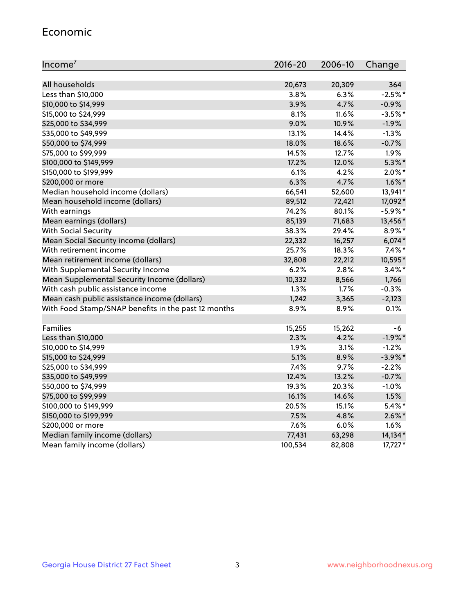#### Economic

| Income <sup>7</sup>                                 | $2016 - 20$ | 2006-10 | Change     |
|-----------------------------------------------------|-------------|---------|------------|
|                                                     |             |         |            |
| All households                                      | 20,673      | 20,309  | 364        |
| Less than \$10,000                                  | 3.8%        | 6.3%    | $-2.5%$ *  |
| \$10,000 to \$14,999                                | 3.9%        | 4.7%    | $-0.9%$    |
| \$15,000 to \$24,999                                | 8.1%        | 11.6%   | $-3.5%$ *  |
| \$25,000 to \$34,999                                | 9.0%        | 10.9%   | $-1.9%$    |
| \$35,000 to \$49,999                                | 13.1%       | 14.4%   | $-1.3%$    |
| \$50,000 to \$74,999                                | 18.0%       | 18.6%   | $-0.7%$    |
| \$75,000 to \$99,999                                | 14.5%       | 12.7%   | 1.9%       |
| \$100,000 to \$149,999                              | 17.2%       | 12.0%   | $5.3\%$ *  |
| \$150,000 to \$199,999                              | 6.1%        | 4.2%    | $2.0\%$ *  |
| \$200,000 or more                                   | 6.3%        | 4.7%    | $1.6\%$ *  |
| Median household income (dollars)                   | 66,541      | 52,600  | 13,941*    |
| Mean household income (dollars)                     | 89,512      | 72,421  | 17,092*    |
| With earnings                                       | 74.2%       | 80.1%   | $-5.9\%$ * |
| Mean earnings (dollars)                             | 85,139      | 71,683  | 13,456*    |
| <b>With Social Security</b>                         | 38.3%       | 29.4%   | 8.9%*      |
| Mean Social Security income (dollars)               | 22,332      | 16,257  | $6,074*$   |
| With retirement income                              | 25.7%       | 18.3%   | $7.4\%$ *  |
| Mean retirement income (dollars)                    | 32,808      | 22,212  | 10,595*    |
| With Supplemental Security Income                   | 6.2%        | 2.8%    | $3.4\%$ *  |
| Mean Supplemental Security Income (dollars)         | 10,332      | 8,566   | 1,766      |
| With cash public assistance income                  | 1.3%        | 1.7%    | $-0.3%$    |
| Mean cash public assistance income (dollars)        | 1,242       | 3,365   | $-2,123$   |
| With Food Stamp/SNAP benefits in the past 12 months | 8.9%        | 8.9%    | 0.1%       |
|                                                     |             |         |            |
| Families                                            | 15,255      | 15,262  | -6         |
| Less than \$10,000                                  | 2.3%        | 4.2%    | $-1.9%$ *  |
| \$10,000 to \$14,999                                | 1.9%        | 3.1%    | $-1.2%$    |
| \$15,000 to \$24,999                                | 5.1%        | 8.9%    | $-3.9\%$ * |
| \$25,000 to \$34,999                                | 7.4%        | 9.7%    | $-2.2%$    |
| \$35,000 to \$49,999                                | 12.4%       | 13.2%   | $-0.7%$    |
| \$50,000 to \$74,999                                | 19.3%       | 20.3%   | $-1.0%$    |
| \$75,000 to \$99,999                                | 16.1%       | 14.6%   | 1.5%       |
| \$100,000 to \$149,999                              | 20.5%       | 15.1%   | $5.4\%$ *  |
| \$150,000 to \$199,999                              | 7.5%        | 4.8%    | $2.6\%$ *  |
| \$200,000 or more                                   | 7.6%        | 6.0%    | 1.6%       |
| Median family income (dollars)                      | 77,431      | 63,298  | 14,134*    |
| Mean family income (dollars)                        | 100,534     | 82,808  | 17,727*    |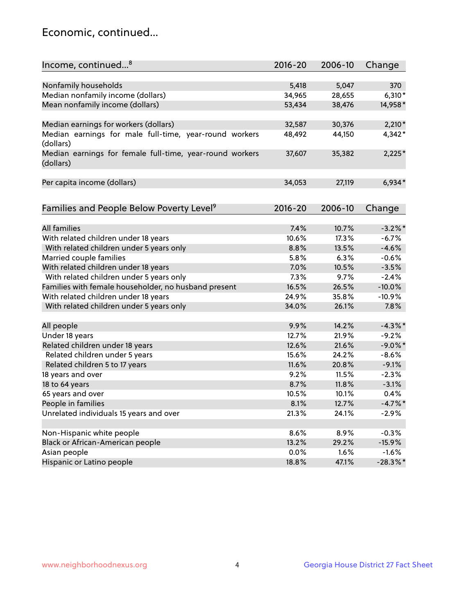## Economic, continued...

| Income, continued <sup>8</sup>                                        | $2016 - 20$ | 2006-10 | Change      |
|-----------------------------------------------------------------------|-------------|---------|-------------|
|                                                                       |             |         |             |
| Nonfamily households                                                  | 5,418       | 5,047   | 370         |
| Median nonfamily income (dollars)                                     | 34,965      | 28,655  | $6,310*$    |
| Mean nonfamily income (dollars)                                       | 53,434      | 38,476  | 14,958*     |
| Median earnings for workers (dollars)                                 | 32,587      | 30,376  | $2,210*$    |
| Median earnings for male full-time, year-round workers                | 48,492      | 44,150  | 4,342*      |
| (dollars)                                                             |             |         |             |
| Median earnings for female full-time, year-round workers<br>(dollars) | 37,607      | 35,382  | $2,225*$    |
| Per capita income (dollars)                                           | 34,053      | 27,119  | $6,934*$    |
|                                                                       |             |         |             |
| Families and People Below Poverty Level <sup>9</sup>                  | $2016 - 20$ | 2006-10 | Change      |
|                                                                       |             |         |             |
| <b>All families</b>                                                   | 7.4%        | 10.7%   | $-3.2\%$ *  |
| With related children under 18 years                                  | 10.6%       | 17.3%   | $-6.7%$     |
| With related children under 5 years only                              | 8.8%        | 13.5%   | $-4.6%$     |
| Married couple families                                               | 5.8%        | 6.3%    | $-0.6%$     |
| With related children under 18 years                                  | 7.0%        | 10.5%   | $-3.5%$     |
| With related children under 5 years only                              | 7.3%        | 9.7%    | $-2.4%$     |
| Families with female householder, no husband present                  | 16.5%       | 26.5%   | $-10.0%$    |
| With related children under 18 years                                  | 24.9%       | 35.8%   | $-10.9%$    |
| With related children under 5 years only                              | 34.0%       | 26.1%   | 7.8%        |
| All people                                                            | 9.9%        | 14.2%   | $-4.3\%$ *  |
| Under 18 years                                                        | 12.7%       | 21.9%   | $-9.2%$     |
| Related children under 18 years                                       | 12.6%       | 21.6%   | $-9.0\%$ *  |
| Related children under 5 years                                        | 15.6%       | 24.2%   | $-8.6%$     |
| Related children 5 to 17 years                                        | 11.6%       | 20.8%   | $-9.1%$     |
| 18 years and over                                                     | 9.2%        | 11.5%   | $-2.3%$     |
| 18 to 64 years                                                        | 8.7%        | 11.8%   | $-3.1%$     |
| 65 years and over                                                     | 10.5%       | 10.1%   | 0.4%        |
| People in families                                                    | 8.1%        | 12.7%   | $-4.7\%$ *  |
| Unrelated individuals 15 years and over                               | 21.3%       | 24.1%   | $-2.9%$     |
|                                                                       |             |         |             |
| Non-Hispanic white people                                             | 8.6%        | 8.9%    | $-0.3%$     |
| Black or African-American people                                      | 13.2%       | 29.2%   | $-15.9%$    |
| Asian people                                                          | $0.0\%$     | 1.6%    | $-1.6%$     |
| Hispanic or Latino people                                             | 18.8%       | 47.1%   | $-28.3\%$ * |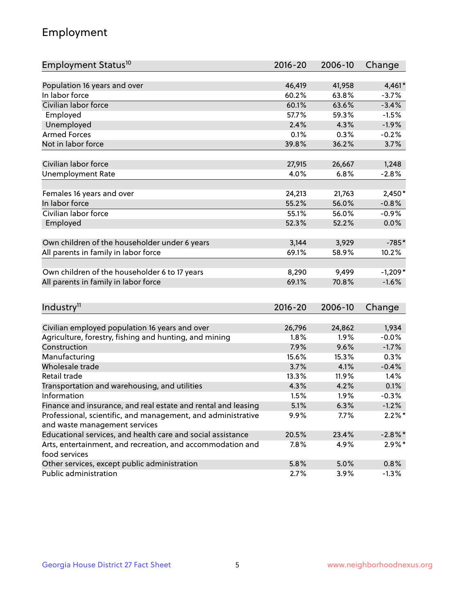## Employment

| Employment Status <sup>10</sup>                                             | $2016 - 20$ | 2006-10 | Change     |
|-----------------------------------------------------------------------------|-------------|---------|------------|
|                                                                             |             |         |            |
| Population 16 years and over                                                | 46,419      | 41,958  | $4,461*$   |
| In labor force                                                              | 60.2%       | 63.8%   | $-3.7%$    |
| Civilian labor force                                                        | 60.1%       | 63.6%   | $-3.4%$    |
| Employed                                                                    | 57.7%       | 59.3%   | $-1.5%$    |
| Unemployed                                                                  | 2.4%        | 4.3%    | $-1.9%$    |
| <b>Armed Forces</b>                                                         | 0.1%        | 0.3%    | $-0.2%$    |
| Not in labor force                                                          | 39.8%       | 36.2%   | 3.7%       |
|                                                                             |             |         |            |
| Civilian labor force                                                        | 27,915      | 26,667  | 1,248      |
| <b>Unemployment Rate</b>                                                    | 4.0%        | 6.8%    | $-2.8%$    |
| Females 16 years and over                                                   | 24,213      | 21,763  | $2,450*$   |
| In labor force                                                              | 55.2%       | 56.0%   | $-0.8%$    |
| Civilian labor force                                                        | 55.1%       | 56.0%   | $-0.9%$    |
| Employed                                                                    | 52.3%       | 52.2%   | 0.0%       |
|                                                                             |             |         |            |
| Own children of the householder under 6 years                               | 3,144       | 3,929   | $-785*$    |
| All parents in family in labor force                                        | 69.1%       | 58.9%   | 10.2%      |
|                                                                             |             |         |            |
| Own children of the householder 6 to 17 years                               | 8,290       | 9,499   | $-1,209*$  |
| All parents in family in labor force                                        | 69.1%       | 70.8%   | $-1.6%$    |
|                                                                             |             |         |            |
| Industry <sup>11</sup>                                                      | $2016 - 20$ | 2006-10 | Change     |
|                                                                             |             |         |            |
| Civilian employed population 16 years and over                              | 26,796      | 24,862  | 1,934      |
| Agriculture, forestry, fishing and hunting, and mining                      | 1.8%        | 1.9%    | $-0.0%$    |
| Construction                                                                | 7.9%        | 9.6%    | $-1.7%$    |
| Manufacturing                                                               | 15.6%       | 15.3%   | 0.3%       |
| Wholesale trade                                                             | 3.7%        | 4.1%    | $-0.4%$    |
| Retail trade                                                                | 13.3%       | 11.9%   | 1.4%       |
| Transportation and warehousing, and utilities                               | 4.3%        | 4.2%    | 0.1%       |
| Information                                                                 | 1.5%        | 1.9%    | $-0.3%$    |
| Finance and insurance, and real estate and rental and leasing               | 5.1%        | 6.3%    | $-1.2%$    |
| Professional, scientific, and management, and administrative                | $9.9\%$     | 7.7%    | $2.2\%$ *  |
| and waste management services                                               |             |         |            |
| Educational services, and health care and social assistance                 | 20.5%       | 23.4%   | $-2.8\%$ * |
| Arts, entertainment, and recreation, and accommodation and<br>food services | 7.8%        | 4.9%    | $2.9\%*$   |
| Other services, except public administration                                | 5.8%        | 5.0%    | 0.8%       |
| Public administration                                                       | 2.7%        | 3.9%    | $-1.3%$    |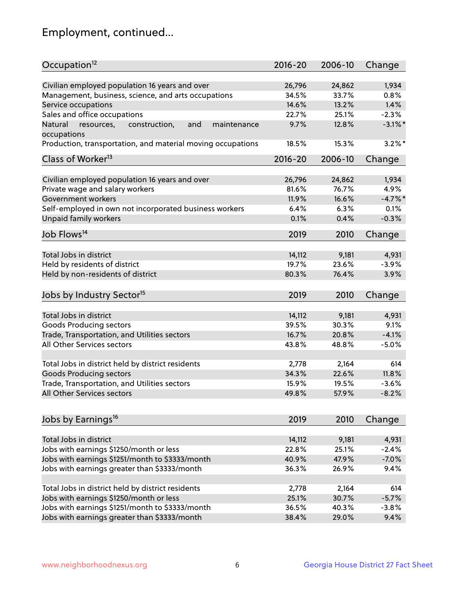## Employment, continued...

| Occupation <sup>12</sup>                                    | $2016 - 20$ | 2006-10 | Change     |
|-------------------------------------------------------------|-------------|---------|------------|
| Civilian employed population 16 years and over              | 26,796      | 24,862  | 1,934      |
| Management, business, science, and arts occupations         | 34.5%       | 33.7%   | 0.8%       |
| Service occupations                                         | 14.6%       | 13.2%   | 1.4%       |
| Sales and office occupations                                | 22.7%       | 25.1%   | $-2.3%$    |
| and<br>maintenance<br>Natural                               | 9.7%        | 12.8%   | $-3.1\%$ * |
| resources,<br>construction,<br>occupations                  |             |         |            |
| Production, transportation, and material moving occupations | 18.5%       | 15.3%   | $3.2\%$ *  |
| Class of Worker <sup>13</sup>                               | $2016 - 20$ | 2006-10 | Change     |
| Civilian employed population 16 years and over              | 26,796      | 24,862  | 1,934      |
| Private wage and salary workers                             | 81.6%       | 76.7%   | 4.9%       |
|                                                             |             |         | $-4.7%$    |
| Government workers                                          | 11.9%       | 16.6%   |            |
| Self-employed in own not incorporated business workers      | 6.4%        | 6.3%    | 0.1%       |
| Unpaid family workers                                       | 0.1%        | 0.4%    | $-0.3%$    |
| Job Flows <sup>14</sup>                                     | 2019        | 2010    | Change     |
|                                                             |             |         |            |
| Total Jobs in district                                      | 14,112      | 9,181   | 4,931      |
| Held by residents of district                               | 19.7%       | 23.6%   | $-3.9%$    |
| Held by non-residents of district                           | 80.3%       | 76.4%   | 3.9%       |
| Jobs by Industry Sector <sup>15</sup>                       | 2019        | 2010    | Change     |
|                                                             |             |         |            |
| Total Jobs in district                                      | 14,112      | 9,181   | 4,931      |
| Goods Producing sectors                                     | 39.5%       | 30.3%   | 9.1%       |
| Trade, Transportation, and Utilities sectors                | 16.7%       | 20.8%   | $-4.1%$    |
| All Other Services sectors                                  | 43.8%       | 48.8%   | $-5.0%$    |
| Total Jobs in district held by district residents           | 2,778       | 2,164   | 614        |
| <b>Goods Producing sectors</b>                              | 34.3%       | 22.6%   | 11.8%      |
| Trade, Transportation, and Utilities sectors                | 15.9%       | 19.5%   | $-3.6%$    |
| All Other Services sectors                                  | 49.8%       | 57.9%   | $-8.2%$    |
|                                                             |             |         |            |
| Jobs by Earnings <sup>16</sup>                              | 2019        | 2010    | Change     |
|                                                             |             |         |            |
| Total Jobs in district                                      | 14,112      | 9,181   | 4,931      |
| Jobs with earnings \$1250/month or less                     | 22.8%       | 25.1%   | $-2.4%$    |
| Jobs with earnings \$1251/month to \$3333/month             | 40.9%       | 47.9%   | $-7.0%$    |
| Jobs with earnings greater than \$3333/month                | 36.3%       | 26.9%   | 9.4%       |
| Total Jobs in district held by district residents           | 2,778       | 2,164   | 614        |
| Jobs with earnings \$1250/month or less                     | 25.1%       | 30.7%   | $-5.7%$    |
| Jobs with earnings \$1251/month to \$3333/month             | 36.5%       | 40.3%   | $-3.8%$    |
| Jobs with earnings greater than \$3333/month                | 38.4%       | 29.0%   | 9.4%       |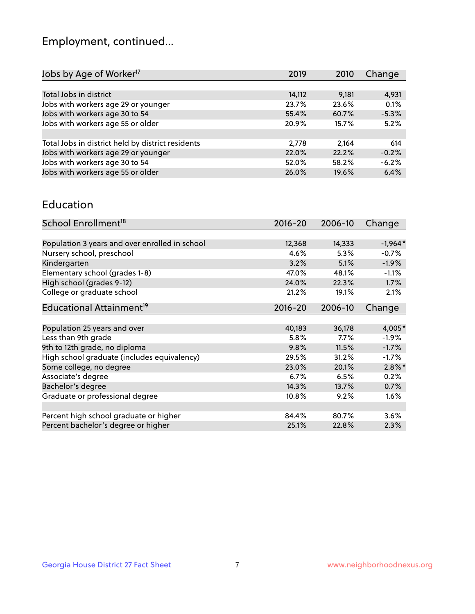## Employment, continued...

| Jobs by Age of Worker <sup>17</sup>               | 2019   | 2010  | Change  |
|---------------------------------------------------|--------|-------|---------|
|                                                   |        |       |         |
| Total Jobs in district                            | 14,112 | 9,181 | 4,931   |
| Jobs with workers age 29 or younger               | 23.7%  | 23.6% | 0.1%    |
| Jobs with workers age 30 to 54                    | 55.4%  | 60.7% | $-5.3%$ |
| Jobs with workers age 55 or older                 | 20.9%  | 15.7% | 5.2%    |
|                                                   |        |       |         |
| Total Jobs in district held by district residents | 2,778  | 2,164 | 614     |
| Jobs with workers age 29 or younger               | 22.0%  | 22.2% | $-0.2%$ |
| Jobs with workers age 30 to 54                    | 52.0%  | 58.2% | $-6.2%$ |
| Jobs with workers age 55 or older                 | 26.0%  | 19.6% | 6.4%    |

#### Education

| School Enrollment <sup>18</sup>                | $2016 - 20$ | 2006-10 | Change    |
|------------------------------------------------|-------------|---------|-----------|
|                                                |             |         |           |
| Population 3 years and over enrolled in school | 12,368      | 14,333  | $-1,964*$ |
| Nursery school, preschool                      | 4.6%        | 5.3%    | $-0.7%$   |
| Kindergarten                                   | 3.2%        | 5.1%    | $-1.9%$   |
| Elementary school (grades 1-8)                 | 47.0%       | 48.1%   | $-1.1%$   |
| High school (grades 9-12)                      | 24.0%       | 22.3%   | $1.7\%$   |
| College or graduate school                     | 21.2%       | 19.1%   | 2.1%      |
| Educational Attainment <sup>19</sup>           | $2016 - 20$ | 2006-10 | Change    |
|                                                |             |         |           |
| Population 25 years and over                   | 40,183      | 36,178  | $4,005*$  |
| Less than 9th grade                            | 5.8%        | $7.7\%$ | $-1.9%$   |
| 9th to 12th grade, no diploma                  | 9.8%        | 11.5%   | $-1.7%$   |
| High school graduate (includes equivalency)    | 29.5%       | 31.2%   | $-1.7\%$  |
| Some college, no degree                        | 23.0%       | 20.1%   | $2.8\%$ * |
| Associate's degree                             | 6.7%        | 6.5%    | 0.2%      |
| Bachelor's degree                              | 14.3%       | 13.7%   | 0.7%      |
| Graduate or professional degree                | 10.8%       | 9.2%    | $1.6\%$   |
|                                                |             |         |           |
| Percent high school graduate or higher         | 84.4%       | 80.7%   | 3.6%      |
| Percent bachelor's degree or higher            | 25.1%       | 22.8%   | 2.3%      |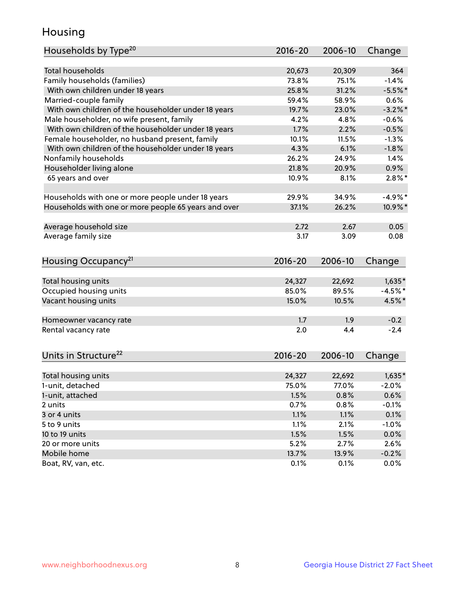## Housing

| Households by Type <sup>20</sup>                     | 2016-20 | 2006-10 | Change     |
|------------------------------------------------------|---------|---------|------------|
|                                                      |         |         |            |
| <b>Total households</b>                              | 20,673  | 20,309  | 364        |
| Family households (families)                         | 73.8%   | 75.1%   | $-1.4%$    |
| With own children under 18 years                     | 25.8%   | 31.2%   | $-5.5%$ *  |
| Married-couple family                                | 59.4%   | 58.9%   | 0.6%       |
| With own children of the householder under 18 years  | 19.7%   | 23.0%   | $-3.2\%$ * |
| Male householder, no wife present, family            | 4.2%    | 4.8%    | $-0.6%$    |
| With own children of the householder under 18 years  | 1.7%    | 2.2%    | $-0.5%$    |
| Female householder, no husband present, family       | 10.1%   | 11.5%   | $-1.3%$    |
| With own children of the householder under 18 years  | 4.3%    | 6.1%    | $-1.8%$    |
| Nonfamily households                                 | 26.2%   | 24.9%   | 1.4%       |
| Householder living alone                             | 21.8%   | 20.9%   | 0.9%       |
| 65 years and over                                    | 10.9%   | 8.1%    | $2.8\%$ *  |
|                                                      |         |         |            |
| Households with one or more people under 18 years    | 29.9%   | 34.9%   | $-4.9%$ *  |
| Households with one or more people 65 years and over | 37.1%   | 26.2%   | 10.9%*     |
|                                                      |         |         |            |
| Average household size                               | 2.72    | 2.67    | 0.05       |
| Average family size                                  | 3.17    | 3.09    | 0.08       |
|                                                      |         |         |            |
| Housing Occupancy <sup>21</sup>                      | 2016-20 | 2006-10 | Change     |
|                                                      |         |         |            |
| Total housing units                                  | 24,327  | 22,692  | $1,635*$   |
| Occupied housing units                               | 85.0%   | 89.5%   | $-4.5%$ *  |
| Vacant housing units                                 | 15.0%   | 10.5%   | 4.5%*      |
|                                                      |         |         |            |
| Homeowner vacancy rate                               | 1.7     | 1.9     | $-0.2$     |
| Rental vacancy rate                                  | 2.0     | 4.4     | $-2.4$     |
|                                                      |         |         |            |
| Units in Structure <sup>22</sup>                     | 2016-20 | 2006-10 | Change     |
|                                                      |         |         |            |
| Total housing units                                  | 24,327  | 22,692  | $1,635*$   |
| 1-unit, detached                                     | 75.0%   | 77.0%   | $-2.0%$    |
| 1-unit, attached                                     | 1.5%    | 0.8%    | 0.6%       |
| 2 units                                              | 0.7%    | 0.8%    | $-0.1%$    |
| 3 or 4 units                                         | 1.1%    | 1.1%    | 0.1%       |
| 5 to 9 units                                         | 1.1%    | 2.1%    | $-1.0%$    |
| 10 to 19 units                                       | 1.5%    | 1.5%    | 0.0%       |
| 20 or more units                                     | 5.2%    | 2.7%    | 2.6%       |
| Mobile home                                          | 13.7%   | 13.9%   | $-0.2%$    |
| Boat, RV, van, etc.                                  | 0.1%    | 0.1%    | 0.0%       |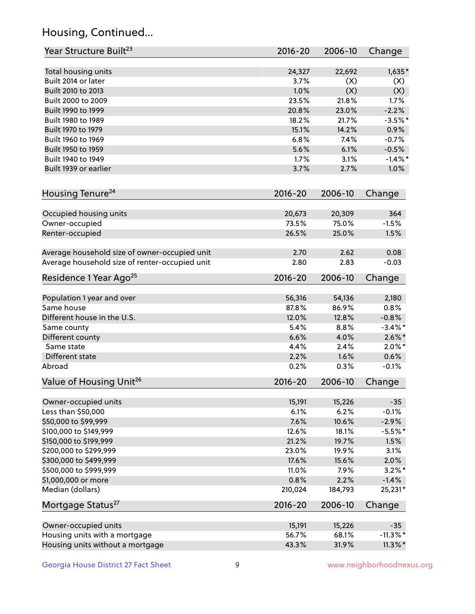## Housing, Continued...

| Year Structure Built <sup>23</sup>             | 2016-20     | 2006-10 | Change      |
|------------------------------------------------|-------------|---------|-------------|
| Total housing units                            | 24,327      | 22,692  | $1,635*$    |
| Built 2014 or later                            | 3.7%        | (X)     | (X)         |
| Built 2010 to 2013                             | 1.0%        | (X)     | (X)         |
| Built 2000 to 2009                             | 23.5%       | 21.8%   | 1.7%        |
| Built 1990 to 1999                             | 20.8%       | 23.0%   | $-2.2%$     |
| Built 1980 to 1989                             | 18.2%       | 21.7%   | $-3.5%$ *   |
| Built 1970 to 1979                             | 15.1%       | 14.2%   | 0.9%        |
| Built 1960 to 1969                             | 6.8%        | 7.4%    | $-0.7%$     |
| Built 1950 to 1959                             | 5.6%        | 6.1%    | $-0.5%$     |
| Built 1940 to 1949                             | 1.7%        | 3.1%    | $-1.4\%$ *  |
| Built 1939 or earlier                          | 3.7%        | 2.7%    | 1.0%        |
| Housing Tenure <sup>24</sup>                   | $2016 - 20$ | 2006-10 | Change      |
|                                                |             |         |             |
| Occupied housing units                         | 20,673      | 20,309  | 364         |
| Owner-occupied                                 | 73.5%       | 75.0%   | $-1.5%$     |
| Renter-occupied                                | 26.5%       | 25.0%   | 1.5%        |
| Average household size of owner-occupied unit  | 2.70        | 2.62    | 0.08        |
| Average household size of renter-occupied unit | 2.80        | 2.83    | $-0.03$     |
| Residence 1 Year Ago <sup>25</sup>             | $2016 - 20$ | 2006-10 | Change      |
| Population 1 year and over                     | 56,316      | 54,136  | 2,180       |
| Same house                                     | 87.8%       | 86.9%   | 0.8%        |
| Different house in the U.S.                    | 12.0%       | 12.8%   | $-0.8%$     |
| Same county                                    | 5.4%        | 8.8%    | $-3.4\%$ *  |
| Different county                               | 6.6%        | 4.0%    | $2.6\%$ *   |
| Same state                                     | 4.4%        | 2.4%    | $2.0\%$ *   |
| Different state                                | 2.2%        | 1.6%    | 0.6%        |
| Abroad                                         | 0.2%        | 0.3%    | $-0.1%$     |
| Value of Housing Unit <sup>26</sup>            | $2016 - 20$ | 2006-10 | Change      |
|                                                |             |         |             |
| Owner-occupied units                           | 15,191      | 15,226  | $-35$       |
| Less than \$50,000                             | 6.1%        | 6.2%    | $-0.1%$     |
| \$50,000 to \$99,999                           | 7.6%        | 10.6%   | $-2.9%$     |
| \$100,000 to \$149,999                         | 12.6%       | 18.1%   | $-5.5%$ *   |
| \$150,000 to \$199,999                         | 21.2%       | 19.7%   | 1.5%        |
| \$200,000 to \$299,999                         | 23.0%       | 19.9%   | 3.1%        |
| \$300,000 to \$499,999                         | 17.6%       | 15.6%   | 2.0%        |
| \$500,000 to \$999,999                         | 11.0%       | 7.9%    | $3.2\%$ *   |
| \$1,000,000 or more                            | 0.8%        | 2.2%    | $-1.4%$     |
| Median (dollars)                               | 210,024     | 184,793 | 25,231*     |
| Mortgage Status <sup>27</sup>                  | $2016 - 20$ | 2006-10 | Change      |
| Owner-occupied units                           | 15,191      | 15,226  | $-35$       |
| Housing units with a mortgage                  | 56.7%       | 68.1%   | $-11.3\%$ * |
| Housing units without a mortgage               | 43.3%       | 31.9%   | $11.3\%$ *  |
|                                                |             |         |             |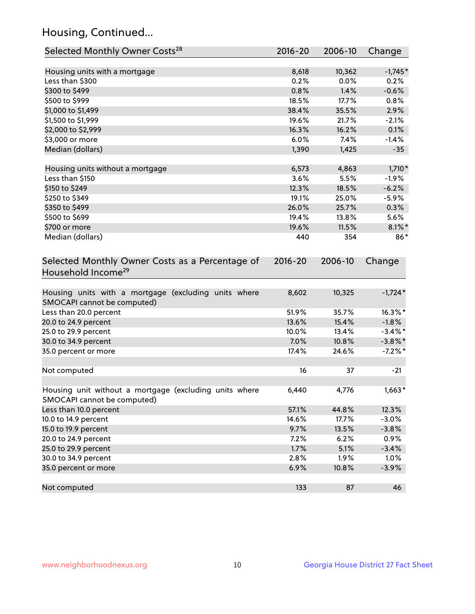## Housing, Continued...

| Selected Monthly Owner Costs <sup>28</sup>                                            | 2016-20     | 2006-10 | Change     |
|---------------------------------------------------------------------------------------|-------------|---------|------------|
| Housing units with a mortgage                                                         | 8,618       | 10,362  | $-1,745*$  |
| Less than \$300                                                                       | 0.2%        | 0.0%    | 0.2%       |
| \$300 to \$499                                                                        | 0.8%        | 1.4%    | $-0.6%$    |
| \$500 to \$999                                                                        | 18.5%       | 17.7%   | 0.8%       |
| \$1,000 to \$1,499                                                                    | 38.4%       | 35.5%   | 2.9%       |
| \$1,500 to \$1,999                                                                    | 19.6%       | 21.7%   | $-2.1%$    |
| \$2,000 to \$2,999                                                                    | 16.3%       | 16.2%   | 0.1%       |
| \$3,000 or more                                                                       | 6.0%        | 7.4%    | $-1.4%$    |
| Median (dollars)                                                                      | 1,390       | 1,425   | $-35$      |
| Housing units without a mortgage                                                      | 6,573       | 4,863   | $1,710*$   |
| Less than \$150                                                                       | 3.6%        | 5.5%    | $-1.9%$    |
| \$150 to \$249                                                                        | 12.3%       | 18.5%   | $-6.2%$    |
| \$250 to \$349                                                                        | 19.1%       | 25.0%   | $-5.9%$    |
| \$350 to \$499                                                                        | 26.0%       | 25.7%   | 0.3%       |
| \$500 to \$699                                                                        | 19.4%       | 13.8%   | 5.6%       |
| \$700 or more                                                                         | 19.6%       | 11.5%   | $8.1\%$ *  |
| Median (dollars)                                                                      | 440         | 354     | 86*        |
| Selected Monthly Owner Costs as a Percentage of<br>Household Income <sup>29</sup>     | $2016 - 20$ | 2006-10 | Change     |
| Housing units with a mortgage (excluding units where<br>SMOCAPI cannot be computed)   | 8,602       | 10,325  | $-1,724*$  |
| Less than 20.0 percent                                                                | 51.9%       | 35.7%   | $16.3\%$ * |
| 20.0 to 24.9 percent                                                                  | 13.6%       | 15.4%   | $-1.8%$    |
| 25.0 to 29.9 percent                                                                  | 10.0%       | 13.4%   | $-3.4\%$ * |
| 30.0 to 34.9 percent                                                                  | 7.0%        | 10.8%   | $-3.8\%$ * |
| 35.0 percent or more                                                                  | 17.4%       | 24.6%   | $-7.2%$ *  |
| Not computed                                                                          | 16          | 37      | $-21$      |
| Housing unit without a mortgage (excluding units where<br>SMOCAPI cannot be computed) | 6,440       | 4,776   | $1,663*$   |
| Less than 10.0 percent                                                                | 57.1%       | 44.8%   | 12.3%      |
| 10.0 to 14.9 percent                                                                  | 14.6%       | 17.7%   | $-3.0%$    |
| 15.0 to 19.9 percent                                                                  | 9.7%        | 13.5%   | $-3.8%$    |
| 20.0 to 24.9 percent                                                                  | 7.2%        | 6.2%    | 0.9%       |
| 25.0 to 29.9 percent                                                                  | 1.7%        | 5.1%    | $-3.4%$    |
| 30.0 to 34.9 percent                                                                  | 2.8%        | 1.9%    | 1.0%       |
| 35.0 percent or more                                                                  | 6.9%        | 10.8%   | $-3.9%$    |
| Not computed                                                                          | 133         | 87      | 46         |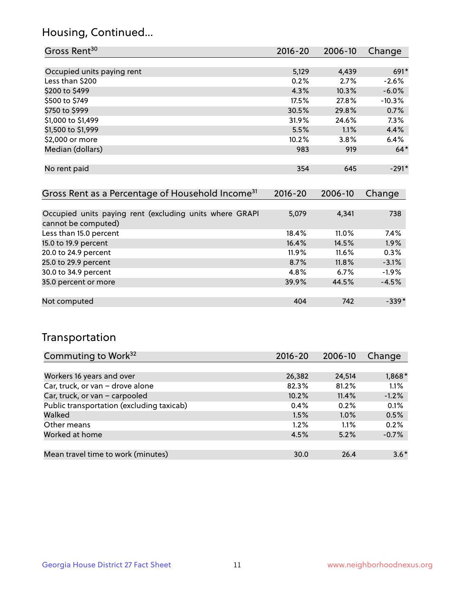## Housing, Continued...

| Gross Rent <sup>30</sup>                                     | 2016-20     | 2006-10 | Change   |
|--------------------------------------------------------------|-------------|---------|----------|
|                                                              |             |         |          |
| Occupied units paying rent                                   | 5,129       | 4,439   | 691*     |
| Less than \$200                                              | 0.2%        | 2.7%    | $-2.6%$  |
| \$200 to \$499                                               | 4.3%        | 10.3%   | $-6.0%$  |
| \$500 to \$749                                               | 17.5%       | 27.8%   | $-10.3%$ |
| \$750 to \$999                                               | 30.5%       | 29.8%   | 0.7%     |
| \$1,000 to \$1,499                                           | 31.9%       | 24.6%   | 7.3%     |
| \$1,500 to \$1,999                                           | 5.5%        | 1.1%    | 4.4%     |
| \$2,000 or more                                              | 10.2%       | 3.8%    | 6.4%     |
| Median (dollars)                                             | 983         | 919     | $64*$    |
|                                                              |             |         |          |
| No rent paid                                                 | 354         | 645     | $-291*$  |
|                                                              |             |         |          |
| Gross Rent as a Percentage of Household Income <sup>31</sup> | $2016 - 20$ | 2006-10 | Change   |

| Occupied units paying rent (excluding units where GRAPI | 5,079    | 4,341    | 738     |
|---------------------------------------------------------|----------|----------|---------|
| cannot be computed)                                     |          |          |         |
| Less than 15.0 percent                                  | 18.4%    | $11.0\%$ | $7.4\%$ |
| 15.0 to 19.9 percent                                    | 16.4%    | 14.5%    | 1.9%    |
| 20.0 to 24.9 percent                                    | $11.9\%$ | 11.6%    | 0.3%    |
| 25.0 to 29.9 percent                                    | 8.7%     | 11.8%    | $-3.1%$ |
| 30.0 to 34.9 percent                                    | 4.8%     | 6.7%     | $-1.9%$ |
| 35.0 percent or more                                    | 39.9%    | 44.5%    | $-4.5%$ |
|                                                         |          |          |         |
| Not computed                                            | 404      | 742      | $-339*$ |

## Transportation

| Commuting to Work <sup>32</sup>           | 2016-20 | 2006-10 | Change  |
|-------------------------------------------|---------|---------|---------|
|                                           |         |         |         |
| Workers 16 years and over                 | 26,382  | 24,514  | 1,868*  |
| Car, truck, or van - drove alone          | 82.3%   | 81.2%   | 1.1%    |
| Car, truck, or van - carpooled            | 10.2%   | 11.4%   | $-1.2%$ |
| Public transportation (excluding taxicab) | 0.4%    | 0.2%    | 0.1%    |
| Walked                                    | 1.5%    | 1.0%    | 0.5%    |
| Other means                               | $1.2\%$ | $1.1\%$ | 0.2%    |
| Worked at home                            | 4.5%    | 5.2%    | $-0.7%$ |
|                                           |         |         |         |
| Mean travel time to work (minutes)        | 30.0    | 26.4    | $3.6*$  |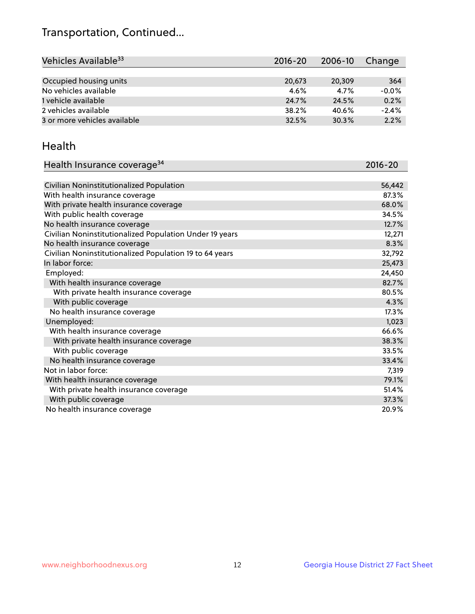## Transportation, Continued...

| Vehicles Available <sup>33</sup> | 2016-20 | 2006-10 | Change  |
|----------------------------------|---------|---------|---------|
|                                  |         |         |         |
| Occupied housing units           | 20,673  | 20,309  | 364     |
| No vehicles available            | $4.6\%$ | 4.7%    | $-0.0%$ |
| 1 vehicle available              | 24.7%   | 24.5%   | 0.2%    |
| 2 vehicles available             | 38.2%   | 40.6%   | $-2.4%$ |
| 3 or more vehicles available     | 32.5%   | 30.3%   | 2.2%    |

#### Health

| Health Insurance coverage <sup>34</sup>                 | 2016-20 |
|---------------------------------------------------------|---------|
|                                                         |         |
| Civilian Noninstitutionalized Population                | 56,442  |
| With health insurance coverage                          | 87.3%   |
| With private health insurance coverage                  | 68.0%   |
| With public health coverage                             | 34.5%   |
| No health insurance coverage                            | 12.7%   |
| Civilian Noninstitutionalized Population Under 19 years | 12,271  |
| No health insurance coverage                            | 8.3%    |
| Civilian Noninstitutionalized Population 19 to 64 years | 32,792  |
| In labor force:                                         | 25,473  |
| Employed:                                               | 24,450  |
| With health insurance coverage                          | 82.7%   |
| With private health insurance coverage                  | 80.5%   |
| With public coverage                                    | 4.3%    |
| No health insurance coverage                            | 17.3%   |
| Unemployed:                                             | 1,023   |
| With health insurance coverage                          | 66.6%   |
| With private health insurance coverage                  | 38.3%   |
| With public coverage                                    | 33.5%   |
| No health insurance coverage                            | 33.4%   |
| Not in labor force:                                     | 7,319   |
| With health insurance coverage                          | 79.1%   |
| With private health insurance coverage                  | 51.4%   |
| With public coverage                                    | 37.3%   |
| No health insurance coverage                            | 20.9%   |